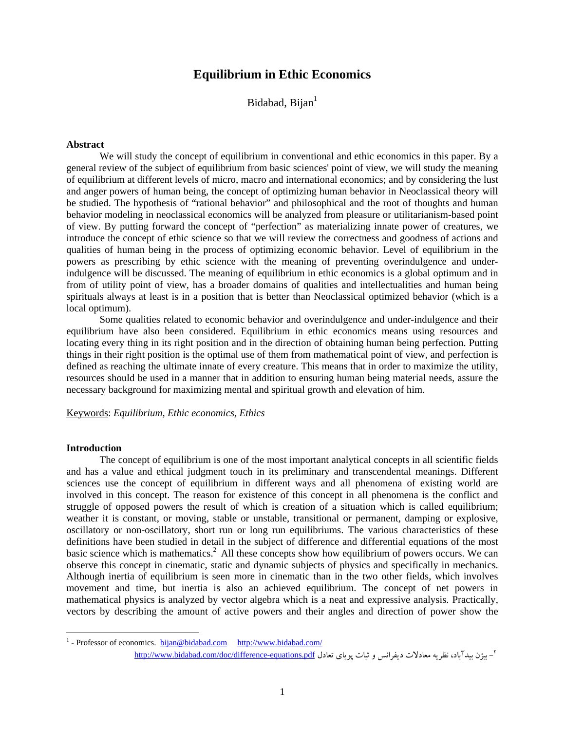# **Equilibrium in Ethic Economics**

Bidabad, Bijan<sup>1</sup>

## **Abstract**

We will study the concept of equilibrium in conventional and ethic economics in this paper. By a general review of the subject of equilibrium from basic sciences' point of view, we will study the meaning of equilibrium at different levels of micro, macro and international economics; and by considering the lust and anger powers of human being, the concept of optimizing human behavior in Neoclassical theory will be studied. The hypothesis of "rational behavior" and philosophical and the root of thoughts and human behavior modeling in neoclassical economics will be analyzed from pleasure or utilitarianism-based point of view. By putting forward the concept of "perfection" as materializing innate power of creatures, we introduce the concept of ethic science so that we will review the correctness and goodness of actions and qualities of human being in the process of optimizing economic behavior. Level of equilibrium in the powers as prescribing by ethic science with the meaning of preventing overindulgence and underindulgence will be discussed. The meaning of equilibrium in ethic economics is a global optimum and in from of utility point of view, has a broader domains of qualities and intellectualities and human being spirituals always at least is in a position that is better than Neoclassical optimized behavior (which is a local optimum).

Some qualities related to economic behavior and overindulgence and under-indulgence and their equilibrium have also been considered. Equilibrium in ethic economics means using resources and locating every thing in its right position and in the direction of obtaining human being perfection. Putting things in their right position is the optimal use of them from mathematical point of view, and perfection is defined as reaching the ultimate innate of every creature. This means that in order to maximize the utility, resources should be used in a manner that in addition to ensuring human being material needs, assure the necessary background for maximizing mental and spiritual growth and elevation of him.

Keywords: *Equilibrium, Ethic economics, Ethics*

#### **Introduction**

 $\overline{a}$ 

The concept of equilibrium is one of the most important analytical concepts in all scientific fields and has a value and ethical judgment touch in its preliminary and transcendental meanings. Different sciences use the concept of equilibrium in different ways and all phenomena of existing world are involved in this concept. The reason for existence of this concept in all phenomena is the conflict and struggle of opposed powers the result of which is creation of a situation which is called equilibrium; weather it is constant, or moving, stable or unstable, transitional or permanent, damping or explosive, oscillatory or non-oscillatory, short run or long run equilibriums. The various characteristics of these definitions have been studied in detail in the subject of difference and differential equations of the most basic science which is mathematics.<sup>2</sup> All these concepts show how equilibrium of powers occurs. We can observe this concept in cinematic, static and dynamic subjects of physics and specifically in mechanics. Although inertia of equilibrium is seen more in cinematic than in the two other fields, which involves movement and time, but inertia is also an achieved equilibrium. The concept of net powers in mathematical physics is analyzed by vector algebra which is a neat and expressive analysis. Practically, vectors by describing the amount of active powers and their angles and direction of power show the

<sup>&</sup>lt;sup>1</sup> - Professor of economics. bijan@bidabad.com http://www.bidabad.com/ <sup>7</sup>- بيژن بيدآباد، نظريه معادلات ديفرانس و ثبات پوياي تعادل <u>http://www.bidabad.com/doc/difference-equations.pdf</u>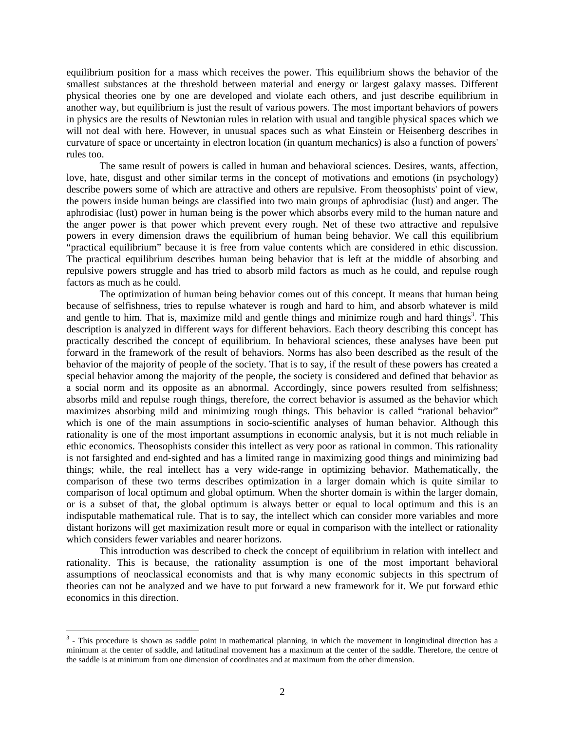equilibrium position for a mass which receives the power. This equilibrium shows the behavior of the smallest substances at the threshold between material and energy or largest galaxy masses. Different physical theories one by one are developed and violate each others, and just describe equilibrium in another way, but equilibrium is just the result of various powers. The most important behaviors of powers in physics are the results of Newtonian rules in relation with usual and tangible physical spaces which we will not deal with here. However, in unusual spaces such as what Einstein or Heisenberg describes in curvature of space or uncertainty in electron location (in quantum mechanics) is also a function of powers' rules too.

The same result of powers is called in human and behavioral sciences. Desires, wants, affection, love, hate, disgust and other similar terms in the concept of motivations and emotions (in psychology) describe powers some of which are attractive and others are repulsive. From theosophists' point of view, the powers inside human beings are classified into two main groups of aphrodisiac (lust) and anger. The aphrodisiac (lust) power in human being is the power which absorbs every mild to the human nature and the anger power is that power which prevent every rough. Net of these two attractive and repulsive powers in every dimension draws the equilibrium of human being behavior. We call this equilibrium "practical equilibrium" because it is free from value contents which are considered in ethic discussion. The practical equilibrium describes human being behavior that is left at the middle of absorbing and repulsive powers struggle and has tried to absorb mild factors as much as he could, and repulse rough factors as much as he could.

The optimization of human being behavior comes out of this concept. It means that human being because of selfishness, tries to repulse whatever is rough and hard to him, and absorb whatever is mild and gentle to him. That is, maximize mild and gentle things and minimize rough and hard things<sup>3</sup>. This description is analyzed in different ways for different behaviors. Each theory describing this concept has practically described the concept of equilibrium. In behavioral sciences, these analyses have been put forward in the framework of the result of behaviors. Norms has also been described as the result of the behavior of the majority of people of the society. That is to say, if the result of these powers has created a special behavior among the majority of the people, the society is considered and defined that behavior as a social norm and its opposite as an abnormal. Accordingly, since powers resulted from selfishness; absorbs mild and repulse rough things, therefore, the correct behavior is assumed as the behavior which maximizes absorbing mild and minimizing rough things. This behavior is called "rational behavior" which is one of the main assumptions in socio-scientific analyses of human behavior. Although this rationality is one of the most important assumptions in economic analysis, but it is not much reliable in ethic economics. Theosophists consider this intellect as very poor as rational in common. This rationality is not farsighted and end-sighted and has a limited range in maximizing good things and minimizing bad things; while, the real intellect has a very wide-range in optimizing behavior. Mathematically, the comparison of these two terms describes optimization in a larger domain which is quite similar to comparison of local optimum and global optimum. When the shorter domain is within the larger domain, or is a subset of that, the global optimum is always better or equal to local optimum and this is an indisputable mathematical rule. That is to say, the intellect which can consider more variables and more distant horizons will get maximization result more or equal in comparison with the intellect or rationality which considers fewer variables and nearer horizons.

This introduction was described to check the concept of equilibrium in relation with intellect and rationality. This is because, the rationality assumption is one of the most important behavioral assumptions of neoclassical economists and that is why many economic subjects in this spectrum of theories can not be analyzed and we have to put forward a new framework for it. We put forward ethic economics in this direction.

<sup>&</sup>lt;sup>3</sup> - This procedure is shown as saddle point in mathematical planning, in which the movement in longitudinal direction has a minimum at the center of saddle, and latitudinal movement has a maximum at the center of the saddle. Therefore, the centre of the saddle is at minimum from one dimension of coordinates and at maximum from the other dimension.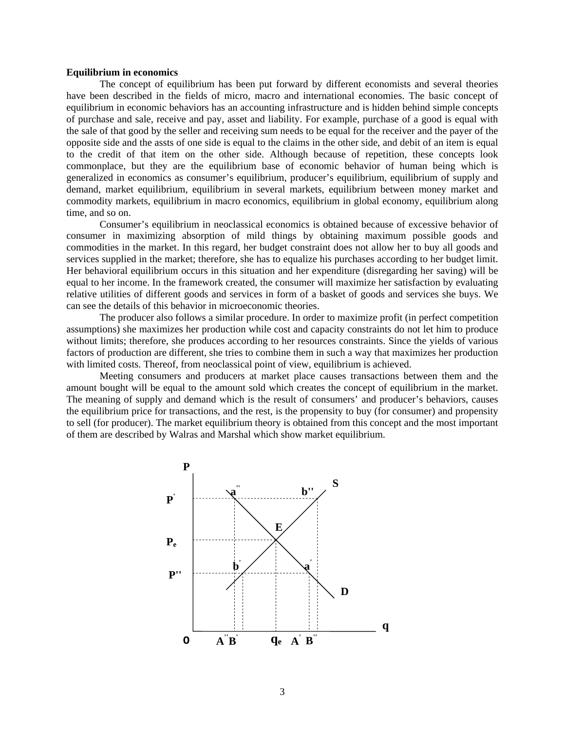#### **Equilibrium in economics**

The concept of equilibrium has been put forward by different economists and several theories have been described in the fields of micro, macro and international economies. The basic concept of equilibrium in economic behaviors has an accounting infrastructure and is hidden behind simple concepts of purchase and sale, receive and pay, asset and liability. For example, purchase of a good is equal with the sale of that good by the seller and receiving sum needs to be equal for the receiver and the payer of the opposite side and the assts of one side is equal to the claims in the other side, and debit of an item is equal to the credit of that item on the other side. Although because of repetition, these concepts look commonplace, but they are the equilibrium base of economic behavior of human being which is generalized in economics as consumer's equilibrium, producer's equilibrium, equilibrium of supply and demand, market equilibrium, equilibrium in several markets, equilibrium between money market and commodity markets, equilibrium in macro economics, equilibrium in global economy, equilibrium along time, and so on.

Consumer's equilibrium in neoclassical economics is obtained because of excessive behavior of consumer in maximizing absorption of mild things by obtaining maximum possible goods and commodities in the market. In this regard, her budget constraint does not allow her to buy all goods and services supplied in the market; therefore, she has to equalize his purchases according to her budget limit. Her behavioral equilibrium occurs in this situation and her expenditure (disregarding her saving) will be equal to her income. In the framework created, the consumer will maximize her satisfaction by evaluating relative utilities of different goods and services in form of a basket of goods and services she buys. We can see the details of this behavior in microeconomic theories.

The producer also follows a similar procedure. In order to maximize profit (in perfect competition assumptions) she maximizes her production while cost and capacity constraints do not let him to produce without limits; therefore, she produces according to her resources constraints. Since the yields of various factors of production are different, she tries to combine them in such a way that maximizes her production with limited costs. Thereof, from neoclassical point of view, equilibrium is achieved.

Meeting consumers and producers at market place causes transactions between them and the amount bought will be equal to the amount sold which creates the concept of equilibrium in the market. The meaning of supply and demand which is the result of consumers' and producer's behaviors, causes the equilibrium price for transactions, and the rest, is the propensity to buy (for consumer) and propensity to sell (for producer). The market equilibrium theory is obtained from this concept and the most important of them are described by Walras and Marshal which show market equilibrium.

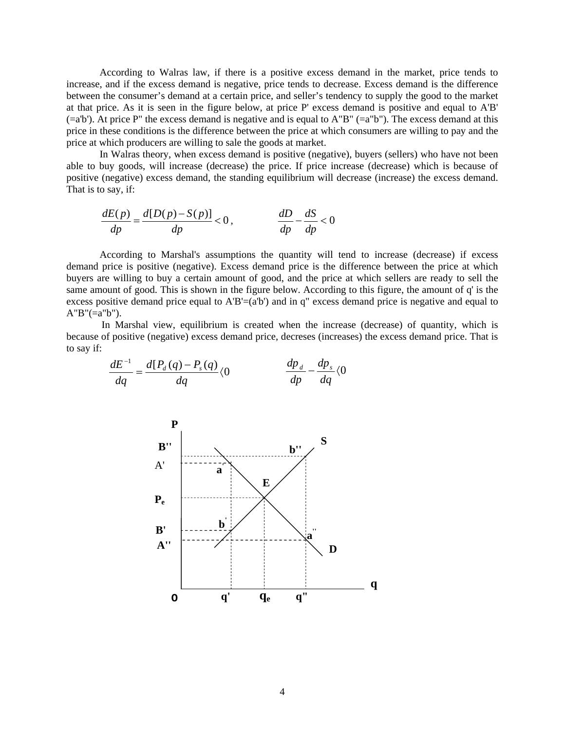According to Walras law, if there is a positive excess demand in the market, price tends to increase, and if the excess demand is negative, price tends to decrease. Excess demand is the difference between the consumer's demand at a certain price, and seller's tendency to supply the good to the market at that price. As it is seen in the figure below, at price P' excess demand is positive and equal to A'B'  $(=a'b')$ . At price P" the excess demand is negative and is equal to A"B"  $(=a'b'')$ . The excess demand at this price in these conditions is the difference between the price at which consumers are willing to pay and the price at which producers are willing to sale the goods at market.

In Walras theory, when excess demand is positive (negative), buyers (sellers) who have not been able to buy goods, will increase (decrease) the price. If price increase (decrease) which is because of positive (negative) excess demand, the standing equilibrium will decrease (increase) the excess demand. That is to say, if:

$$
\frac{dE(p)}{dp} = \frac{d[D(p) - S(p)]}{dp} < 0, \qquad \frac{dD}{dp} - \frac{dS}{dp} < 0
$$

According to Marshal's assumptions the quantity will tend to increase (decrease) if excess demand price is positive (negative). Excess demand price is the difference between the price at which buyers are willing to buy a certain amount of good, and the price at which sellers are ready to sell the same amount of good. This is shown in the figure below. According to this figure, the amount of q' is the excess positive demand price equal to  $A'B'=(a'b')$  and in q" excess demand price is negative and equal to  $A''B''(=a''b'').$ 

In Marshal view, equilibrium is created when the increase (decrease) of quantity, which is because of positive (negative) excess demand price, decreses (increases) the excess demand price. That is to say if:

$$
\frac{dE^{-1}}{dq} = \frac{d[P_d(q) - P_s(q)}{dq} \langle 0 \qquad \frac{dp_d}{dp} - \frac{dp_s}{dq} \langle 0 \rangle
$$

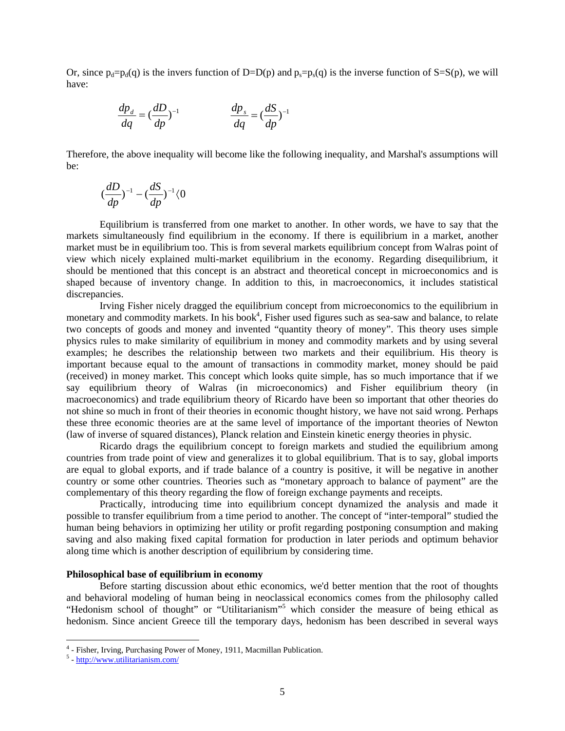Or, since  $p_d = p_d(q)$  is the invers function of D=D(p) and  $p_s = p_s(q)$  is the inverse function of S=S(p), we will have:

$$
\frac{dp_d}{dq} = \left(\frac{dD}{dp}\right)^{-1} \qquad \qquad \frac{dp_s}{dq} = \left(\frac{dS}{dp}\right)^{-1}
$$

Therefore, the above inequality will become like the following inequality, and Marshal's assumptions will be:

$$
(\frac{dD}{dp})^{-1}-(\frac{dS}{dp})^{-1}\langle 0
$$

Equilibrium is transferred from one market to another. In other words, we have to say that the markets simultaneously find equilibrium in the economy. If there is equilibrium in a market, another market must be in equilibrium too. This is from several markets equilibrium concept from Walras point of view which nicely explained multi-market equilibrium in the economy. Regarding disequilibrium, it should be mentioned that this concept is an abstract and theoretical concept in microeconomics and is shaped because of inventory change. In addition to this, in macroeconomics, it includes statistical discrepancies.

Irving Fisher nicely dragged the equilibrium concept from microeconomics to the equilibrium in monetary and commodity markets. In his book<sup>4</sup>, Fisher used figures such as sea-saw and balance, to relate two concepts of goods and money and invented "quantity theory of money". This theory uses simple physics rules to make similarity of equilibrium in money and commodity markets and by using several examples; he describes the relationship between two markets and their equilibrium. His theory is important because equal to the amount of transactions in commodity market, money should be paid (received) in money market. This concept which looks quite simple, has so much importance that if we say equilibrium theory of Walras (in microeconomics) and Fisher equilibrium theory (in macroeconomics) and trade equilibrium theory of Ricardo have been so important that other theories do not shine so much in front of their theories in economic thought history, we have not said wrong. Perhaps these three economic theories are at the same level of importance of the important theories of Newton (law of inverse of squared distances), Planck relation and Einstein kinetic energy theories in physic.

Ricardo drags the equilibrium concept to foreign markets and studied the equilibrium among countries from trade point of view and generalizes it to global equilibrium. That is to say, global imports are equal to global exports, and if trade balance of a country is positive, it will be negative in another country or some other countries. Theories such as "monetary approach to balance of payment" are the complementary of this theory regarding the flow of foreign exchange payments and receipts.

Practically, introducing time into equilibrium concept dynamized the analysis and made it possible to transfer equilibrium from a time period to another. The concept of "inter-temporal" studied the human being behaviors in optimizing her utility or profit regarding postponing consumption and making saving and also making fixed capital formation for production in later periods and optimum behavior along time which is another description of equilibrium by considering time.

## **Philosophical base of equilibrium in economy**

Before starting discussion about ethic economics, we'd better mention that the root of thoughts and behavioral modeling of human being in neoclassical economics comes from the philosophy called "Hedonism school of thought" or "Utilitarianism"<sup>5</sup> which consider the measure of being ethical as hedonism. Since ancient Greece till the temporary days, hedonism has been described in several ways

<sup>&</sup>lt;sup>4</sup> - Fisher, Irving, Purchasing Power of Money, 1911, Macmillan Publication.

 <sup>-</sup> http://www.utilitarianism.com/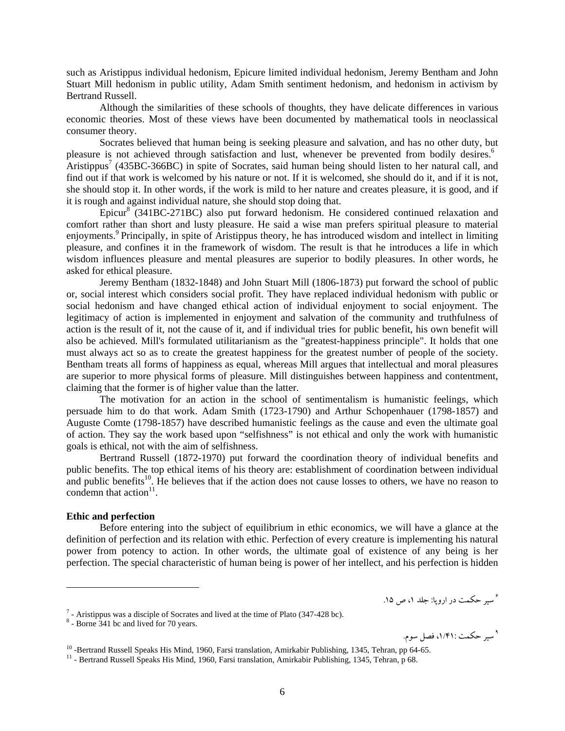such as Aristippus individual hedonism, Epicure limited individual hedonism, Jeremy Bentham and John Stuart Mill hedonism in public utility, Adam Smith sentiment hedonism, and hedonism in activism by Bertrand Russell.

Although the similarities of these schools of thoughts, they have delicate differences in various economic theories. Most of these views have been documented by mathematical tools in neoclassical consumer theory.

Socrates believed that human being is seeking pleasure and salvation, and has no other duty, but pleasure is not achieved through satisfaction and lust, whenever be prevented from bodily desires.<sup>6</sup>  $\text{Aristippus}^7$  (435BC-366BC) in spite of Socrates, said human being should listen to her natural call, and find out if that work is welcomed by his nature or not. If it is welcomed, she should do it, and if it is not, she should stop it. In other words, if the work is mild to her nature and creates pleasure, it is good, and if it is rough and against individual nature, she should stop doing that.

 $Epicur<sup>8</sup>$  (341BC-271BC) also put forward hedonism. He considered continued relaxation and comfort rather than short and lusty pleasure. He said a wise man prefers spiritual pleasure to material enjoyments.<sup>9</sup> Principally, in spite of Aristippus theory, he has introduced wisdom and intellect in limiting pleasure, and confines it in the framework of wisdom. The result is that he introduces a life in which wisdom influences pleasure and mental pleasures are superior to bodily pleasures. In other words, he asked for ethical pleasure.

Jeremy Bentham (1832-1848) and John Stuart Mill (1806-1873) put forward the school of public or, social interest which considers social profit. They have replaced individual hedonism with public or social hedonism and have changed ethical action of individual enjoyment to social enjoyment. The legitimacy of action is implemented in enjoyment and salvation of the community and truthfulness of action is the result of it, not the cause of it, and if individual tries for public benefit, his own benefit will also be achieved. Mill's formulated utilitarianism as the "greatest-happiness principle". It holds that one must always act so as to create the greatest happiness for the greatest number of people of the society. Bentham treats all forms of happiness as equal, whereas Mill argues that intellectual and moral pleasures are superior to more physical forms of pleasure. Mill distinguishes between happiness and contentment, claiming that the former is of higher value than the latter.

The motivation for an action in the school of sentimentalism is humanistic feelings, which persuade him to do that work. Adam Smith (1723-1790) and Arthur Schopenhauer (1798-1857) and Auguste Comte (1798-1857) have described humanistic feelings as the cause and even the ultimate goal of action. They say the work based upon "selfishness" is not ethical and only the work with humanistic goals is ethical, not with the aim of selfishness.

Bertrand Russell (1872-1970) put forward the coordination theory of individual benefits and public benefits. The top ethical items of his theory are: establishment of coordination between individual and public benefits<sup>10</sup>. He believes that if the action does not cause losses to others, we have no reason to condemn that  $\arctan^{11}$ .

## **Ethic and perfection**

Before entering into the subject of equilibrium in ethic economics, we will have a glance at the definition of perfection and its relation with ethic. Perfection of every creature is implementing his natural power from potency to action. In other words, the ultimate goal of existence of any being is her perfection. The special characteristic of human being is power of her intellect, and his perfection is hidden

سير حكمت در اروپا: جلد ،<sup>1</sup> <sup>ص</sup> .15 <sup>6</sup>

۹ سیر حکمت :۱/۴۱، فصل سوم.

 $^7$  - Aristippus was a disciple of Socrates and lived at the time of Plato (347-428 bc).

 <sup>-</sup> Borne 341 bc and lived for 70 years.

<sup>&</sup>lt;sup>10</sup> -Bertrand Russell Speaks His Mind, 1960, Farsi translation, Amirkabir Publishing, 1345, Tehran, pp 64-65. <sup>11</sup> - Bertrand Russell Speaks His Mind, 1960, Farsi translation, Amirkabir Publishing, 1345, Tehran, p 68.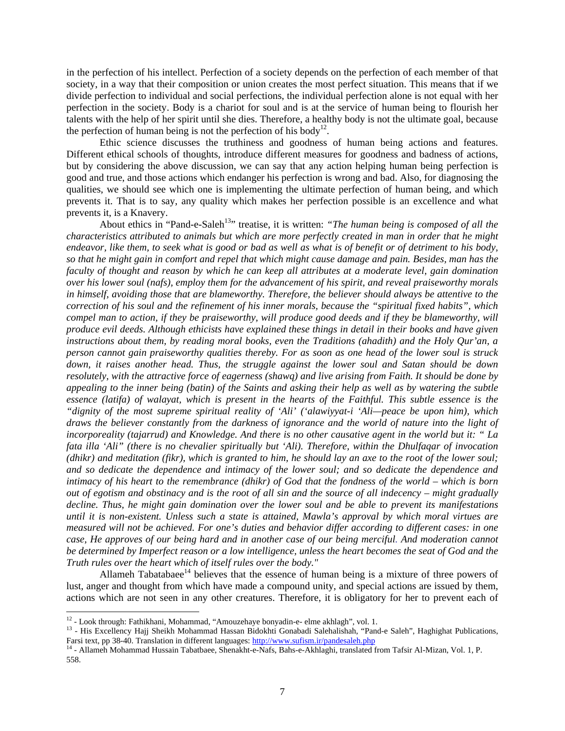in the perfection of his intellect. Perfection of a society depends on the perfection of each member of that society, in a way that their composition or union creates the most perfect situation. This means that if we divide perfection to individual and social perfections, the individual perfection alone is not equal with her perfection in the society. Body is a chariot for soul and is at the service of human being to flourish her talents with the help of her spirit until she dies. Therefore, a healthy body is not the ultimate goal, because the perfection of human being is not the perfection of his body<sup>12</sup>.

Ethic science discusses the truthiness and goodness of human being actions and features. Different ethical schools of thoughts, introduce different measures for goodness and badness of actions, but by considering the above discussion, we can say that any action helping human being perfection is good and true, and those actions which endanger his perfection is wrong and bad. Also, for diagnosing the qualities, we should see which one is implementing the ultimate perfection of human being, and which prevents it. That is to say, any quality which makes her perfection possible is an excellence and what prevents it, is a Knavery.

About ethics in "Pand-e-Saleh<sup>13</sup>" treatise, it is written: "The human being is composed of all the *characteristics attributed to animals but which are more perfectly created in man in order that he might endeavor, like them, to seek what is good or bad as well as what is of benefit or of detriment to his body, so that he might gain in comfort and repel that which might cause damage and pain. Besides, man has the faculty of thought and reason by which he can keep all attributes at a moderate level, gain domination over his lower soul (nafs), employ them for the advancement of his spirit, and reveal praiseworthy morals in himself, avoiding those that are blameworthy. Therefore, the believer should always be attentive to the correction of his soul and the refinement of his inner morals, because the "spiritual fixed habits", which compel man to action, if they be praiseworthy, will produce good deeds and if they be blameworthy, will produce evil deeds. Although ethicists have explained these things in detail in their books and have given instructions about them, by reading moral books, even the Traditions (ahadith) and the Holy Qur'an, a person cannot gain praiseworthy qualities thereby. For as soon as one head of the lower soul is struck down, it raises another head. Thus, the struggle against the lower soul and Satan should be down resolutely, with the attractive force of eagerness (shawq) and live arising from Faith. It should be done by appealing to the inner being (batin) of the Saints and asking their help as well as by watering the subtle essence (latifa) of walayat, which is present in the hearts of the Faithful. This subtle essence is the "dignity of the most supreme spiritual reality of 'Ali' ('alawiyyat-i 'Ali—peace be upon him), which draws the believer constantly from the darkness of ignorance and the world of nature into the light of incorporeality (tajarrud) and Knowledge. And there is no other causative agent in the world but it: " La fata illa 'Ali" (there is no chevalier spiritually but 'Ali). Therefore, within the Dhulfaqar of invocation (dhikr) and meditation (fikr), which is granted to him, he should lay an axe to the root of the lower soul; and so dedicate the dependence and intimacy of the lower soul; and so dedicate the dependence and intimacy of his heart to the remembrance (dhikr) of God that the fondness of the world – which is born out of egotism and obstinacy and is the root of all sin and the source of all indecency – might gradually decline. Thus, he might gain domination over the lower soul and be able to prevent its manifestations until it is non-existent. Unless such a state is attained, Mawla's approval by which moral virtues are measured will not be achieved. For one's duties and behavior differ according to different cases: in one case, He approves of our being hard and in another case of our being merciful. And moderation cannot be determined by Imperfect reason or a low intelligence, unless the heart becomes the seat of God and the Truth rules over the heart which of itself rules over the body."* 

Allameh Tabatabaee<sup>14</sup> believes that the essence of human being is a mixture of three powers of lust, anger and thought from which have made a compound unity, and special actions are issued by them, actions which are not seen in any other creatures. Therefore, it is obligatory for her to prevent each of

<sup>&</sup>lt;sup>12</sup> - Look through: Fathikhani, Mohammad, "Amouzehaye bonyadin-e- elme akhlagh", vol. 1.<br><sup>13</sup> - His Excellency Hajj Sheikh Mohammad Hassan Bidokhti Gonabadi Salehalishah, "Pand-e Saleh", Haghighat Publications, Farsi text, pp 38-40. Translation in different languages: http://www.sufism.ir/pandesaleh.php 14 - Allameh Mohammad Hussain Tabatbaee, Shenakht-e-Nafs, Bahs-e-Akhlaghi, translated from Tafsir Al-Mizan, Vol. 1, P.

<sup>558.</sup>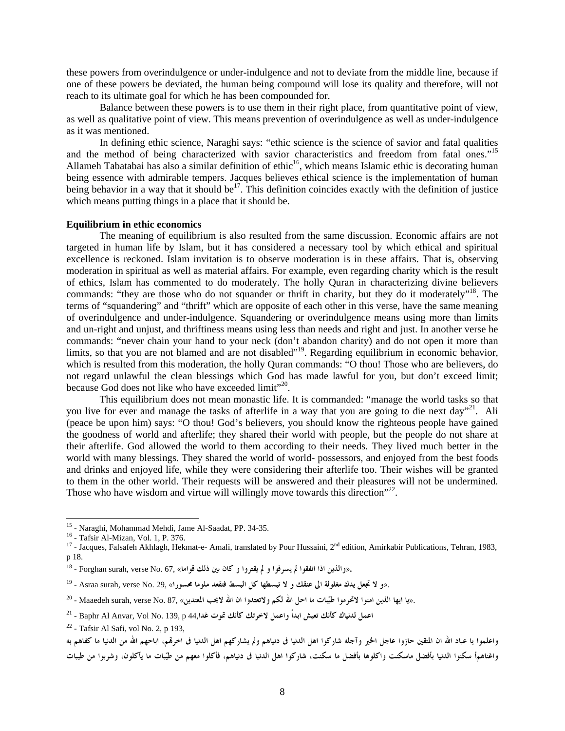these powers from overindulgence or under-indulgence and not to deviate from the middle line, because if one of these powers be deviated, the human being compound will lose its quality and therefore, will not reach to its ultimate goal for which he has been compounded for.

Balance between these powers is to use them in their right place, from quantitative point of view, as well as qualitative point of view. This means prevention of overindulgence as well as under-indulgence as it was mentioned.

In defining ethic science, Naraghi says: "ethic science is the science of savior and fatal qualities and the method of being characterized with savior characteristics and freedom from fatal ones."15 Allameh Tabatabai has also a similar definition of ethic<sup>16</sup>, which means Islamic ethic is decorating human being essence with admirable tempers. Jacques believes ethical science is the implementation of human being behavior in a way that it should be<sup>17</sup>. This definition coincides exactly with the definition of justice which means putting things in a place that it should be.

## **Equilibrium in ethic economics**

The meaning of equilibrium is also resulted from the same discussion. Economic affairs are not targeted in human life by Islam, but it has considered a necessary tool by which ethical and spiritual excellence is reckoned. Islam invitation is to observe moderation is in these affairs. That is, observing moderation in spiritual as well as material affairs. For example, even regarding charity which is the result of ethics, Islam has commented to do moderately. The holly Quran in characterizing divine believers commands: "they are those who do not squander or thrift in charity, but they do it moderately"<sup>18</sup>. The terms of "squandering" and "thrift" which are opposite of each other in this verse, have the same meaning of overindulgence and under-indulgence. Squandering or overindulgence means using more than limits and un-right and unjust, and thriftiness means using less than needs and right and just. In another verse he commands: "never chain your hand to your neck (don't abandon charity) and do not open it more than limits, so that you are not blamed and are not disabled"<sup>19</sup>. Regarding equilibrium in economic behavior, which is resulted from this moderation, the holly Quran commands: "O thou! Those who are believers, do not regard unlawful the clean blessings which God has made lawful for you, but don't exceed limit; because God does not like who have exceeded limit"<sup>20</sup>.

This equilibrium does not mean monastic life. It is commanded: "manage the world tasks so that you live for ever and manage the tasks of afterlife in a way that you are going to die next day"<sup>21</sup>. Ali (peace be upon him) says: "O thou! God's believers, you should know the righteous people have gained the goodness of world and afterlife; they shared their world with people, but the people do not share at their afterlife. God allowed the world to them according to their needs. They lived much better in the world with many blessings. They shared the world of world- possessors, and enjoyed from the best foods and drinks and enjoyed life, while they were considering their afterlife too. Their wishes will be granted to them in the other world. Their requests will be answered and their pleasures will not be undermined. Those who have wisdom and virtue will willingly move towards this direction<sup> $22$ </sup>.

<sup>&</sup>lt;sup>15</sup> - Naraghi, Mohammad Mehdi, Jame Al-Saadat, PP. 34-35.<br><sup>16</sup> - Tafsir Al-Mizan, Vol. 1, P. 376.

<sup>&</sup>lt;sup>16</sup> - Tafsir Al-Mizan, Vol. 1, P. 376.<br><sup>17</sup> - Jacques, Falsafeh Akhlagh, Hekmat-e- Amali, translated by Pour Hussaini, 2<sup>nd</sup> edition, Amirkabir Publications, Tehran, 1983, p 18.

**<sup>.</sup>«والذين اذا انفقوا لم يسرفوا و لم يقتروا و كان بين ذلك قواما»** 67, .No verse ,surah Forghan - 18

 <sup>.</sup>«**و لا تجعل يدك مغلولة الى عنقك و لا تبسطها كل البسط فتقعد ملوما محسورا**» 29, .No verse ,surah Asraa - 19

<sup>.«</sup>يا ايها الذين امنوا لاتحرموا طيّبات ما احل الله لكم ولاتعتدوا ان الله لايجب المعتدين» Maaedeh surah, verse No. 87. - 20

<sup>21 -</sup> Baphr Al Anvar, Vol No. 139, p 44,**غدا تموت كأنك لاخرتك واعمل ابداً تعيش كأنك لدنياك اعمل**

 $22$  - Tafsir Al Safi, vol No. 2, p 193,

واعلموا يا عباد الله ان المتقين حازوا عاجل الخير وآجله شاركوا اهل الدنيا في دنياهم ولم يشاركهم الدنيا في اخرقمي اباحهم الله من الدنيا ما كفاهم به .<br>واغناهمأ سكنوا الدنيا بأفضل ماسكنت واكلوها بأفضل ما سكنت، شاركوا اهل الدنيا في دنياهم، فأكلوا معهم من طيّبات ما يأكلون، وشربوا من طيبات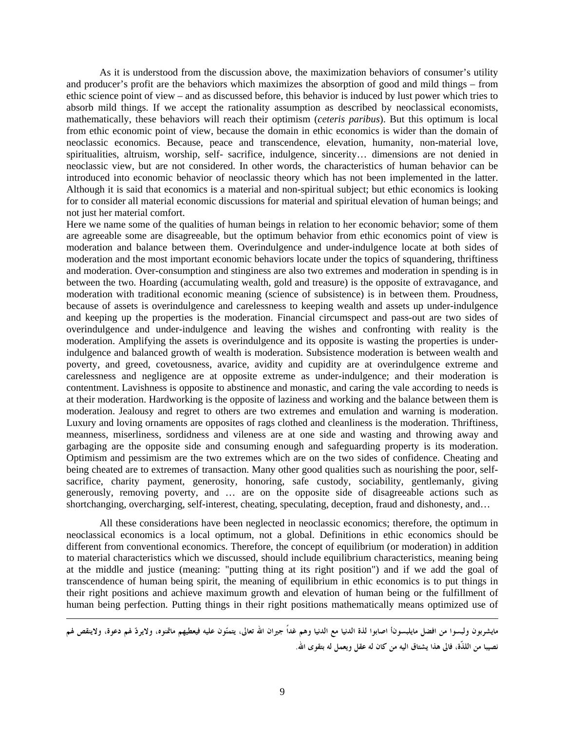As it is understood from the discussion above, the maximization behaviors of consumer's utility and producer's profit are the behaviors which maximizes the absorption of good and mild things – from ethic science point of view – and as discussed before, this behavior is induced by lust power which tries to absorb mild things. If we accept the rationality assumption as described by neoclassical economists, mathematically, these behaviors will reach their optimism (*ceteris paribus*). But this optimum is local from ethic economic point of view, because the domain in ethic economics is wider than the domain of neoclassic economics. Because, peace and transcendence, elevation, humanity, non-material love, spiritualities, altruism, worship, self- sacrifice, indulgence, sincerity… dimensions are not denied in neoclassic view, but are not considered. In other words, the characteristics of human behavior can be introduced into economic behavior of neoclassic theory which has not been implemented in the latter. Although it is said that economics is a material and non-spiritual subject; but ethic economics is looking for to consider all material economic discussions for material and spiritual elevation of human beings; and not just her material comfort.

Here we name some of the qualities of human beings in relation to her economic behavior; some of them are agreeable some are disagreeable, but the optimum behavior from ethic economics point of view is moderation and balance between them. Overindulgence and under-indulgence locate at both sides of moderation and the most important economic behaviors locate under the topics of squandering, thriftiness and moderation. Over-consumption and stinginess are also two extremes and moderation in spending is in between the two. Hoarding (accumulating wealth, gold and treasure) is the opposite of extravagance, and moderation with traditional economic meaning (science of subsistence) is in between them. Proudness, because of assets is overindulgence and carelessness to keeping wealth and assets up under-indulgence and keeping up the properties is the moderation. Financial circumspect and pass-out are two sides of overindulgence and under-indulgence and leaving the wishes and confronting with reality is the moderation. Amplifying the assets is overindulgence and its opposite is wasting the properties is underindulgence and balanced growth of wealth is moderation. Subsistence moderation is between wealth and poverty, and greed, covetousness, avarice, avidity and cupidity are at overindulgence extreme and carelessness and negligence are at opposite extreme as under-indulgence; and their moderation is contentment. Lavishness is opposite to abstinence and monastic, and caring the vale according to needs is at their moderation. Hardworking is the opposite of laziness and working and the balance between them is moderation. Jealousy and regret to others are two extremes and emulation and warning is moderation. Luxury and loving ornaments are opposites of rags clothed and cleanliness is the moderation. Thriftiness, meanness, miserliness, sordidness and vileness are at one side and wasting and throwing away and garbaging are the opposite side and consuming enough and safeguarding property is its moderation. Optimism and pessimism are the two extremes which are on the two sides of confidence. Cheating and being cheated are to extremes of transaction. Many other good qualities such as nourishing the poor, selfsacrifice, charity payment, generosity, honoring, safe custody, sociability, gentlemanly, giving generously, removing poverty, and … are on the opposite side of disagreeable actions such as shortchanging, overcharging, self-interest, cheating, speculating, deception, fraud and dishonesty, and...

All these considerations have been neglected in neoclassic economics; therefore, the optimum in neoclassical economics is a local optimum, not a global. Definitions in ethic economics should be different from conventional economics. Therefore, the concept of equilibrium (or moderation) in addition to material characteristics which we discussed, should include equilibrium characteristics, meaning being at the middle and justice (meaning: "putting thing at its right position") and if we add the goal of transcendence of human being spirit, the meaning of equilibrium in ethic economics is to put things in their right positions and achieve maximum growth and elevation of human being or the fulfillment of human being perfection. Putting things in their right positions mathematically means optimized use of

مايشربون ولبسوا من افضل مايلبسوناً اصابوا لذة الدنيا مع الدنيا وهم غداً جيران الله تعالى، يتمنّون عليه فيعطيهم ماتمنوه، ولايردّ لهم دعوة، ولاينقص لهم **نصيبا من اللذّة، فالى هذا يشتاق اليه من كان له عقل ويعمل له بتقوى االله.**